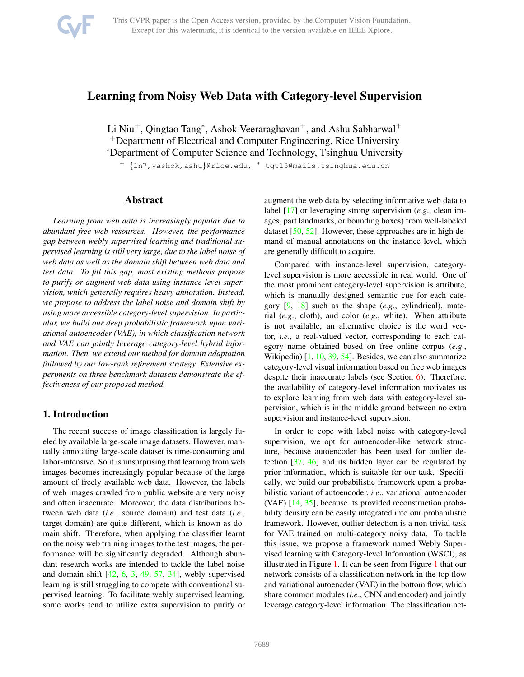<span id="page-0-0"></span>

# Learning from Noisy Web Data with Category-level Supervision

Li Niu<sup>+</sup>, Qingtao Tang<sup>\*</sup>, Ashok Veeraraghavan<sup>+</sup>, and Ashu Sabharwal<sup>+</sup> <sup>+</sup>Department of Electrical and Computer Engineering, Rice University <sup>∗</sup>Department of Computer Science and Technology, Tsinghua University

<sup>+</sup> {ln7,vashok,ashu}@rice.edu, <sup>∗</sup> tqt15@mails.tsinghua.edu.cn

# Abstract

*Learning from web data is increasingly popular due to abundant free web resources. However, the performance gap between webly supervised learning and traditional supervised learning is still very large, due to the label noise of web data as well as the domain shift between web data and test data. To fill this gap, most existing methods propose to purify or augment web data using instance-level supervision, which generally requires heavy annotation. Instead, we propose to address the label noise and domain shift by using more accessible category-level supervision. In particular, we build our deep probabilistic framework upon variational autoencoder (VAE), in which classification network and VAE can jointly leverage category-level hybrid information. Then, we extend our method for domain adaptation followed by our low-rank refinement strategy. Extensive experiments on three benchmark datasets demonstrate the effectiveness of our proposed method.*

# 1. Introduction

The recent success of image classification is largely fueled by available large-scale image datasets. However, manually annotating large-scale dataset is time-consuming and labor-intensive. So it is unsurprising that learning from web images becomes increasingly popular because of the large amount of freely available web data. However, the labels of web images crawled from public website are very noisy and often inaccurate. Moreover, the data distributions between web data (*i.e*., source domain) and test data (*i.e*., target domain) are quite different, which is known as domain shift. Therefore, when applying the classifier learnt on the noisy web training images to the test images, the performance will be significantly degraded. Although abundant research works are intended to tackle the label noise and domain shift  $[42, 6, 3, 49, 57, 34]$  $[42, 6, 3, 49, 57, 34]$  $[42, 6, 3, 49, 57, 34]$  $[42, 6, 3, 49, 57, 34]$  $[42, 6, 3, 49, 57, 34]$  $[42, 6, 3, 49, 57, 34]$  $[42, 6, 3, 49, 57, 34]$  $[42, 6, 3, 49, 57, 34]$  $[42, 6, 3, 49, 57, 34]$  $[42, 6, 3, 49, 57, 34]$ , webly supervised learning is still struggling to compete with conventional supervised learning. To facilitate webly supervised learning, some works tend to utilize extra supervision to purify or

augment the web data by selecting informative web data to label [\[17\]](#page-8-3) or leveraging strong supervision (*e.g*., clean images, part landmarks, or bounding boxes) from well-labeled dataset [\[50,](#page-9-3) [52\]](#page-9-4). However, these approaches are in high demand of manual annotations on the instance level, which are generally difficult to acquire.

Compared with instance-level supervision, categorylevel supervision is more accessible in real world. One of the most prominent category-level supervision is attribute, which is manually designed semantic cue for each category [\[9,](#page-8-4) [18\]](#page-8-5) such as the shape (*e.g*., cylindrical), material (*e.g*., cloth), and color (*e.g*., white). When attribute is not available, an alternative choice is the word vector, *i.e*., a real-valued vector, corresponding to each category name obtained based on free online corpus (*e.g*., Wikipedia) [\[1,](#page-8-6) [10,](#page-8-7) [39,](#page-8-8) [54\]](#page-9-5). Besides, we can also summarize category-level visual information based on free web images despite their inaccurate labels (see Section [6\)](#page-5-0). Therefore, the availability of category-level information motivates us to explore learning from web data with category-level supervision, which is in the middle ground between no extra supervision and instance-level supervision.

In order to cope with label noise with category-level supervision, we opt for autoencoder-like network structure, because autoencoder has been used for outlier detection [\[37,](#page-8-9) [46\]](#page-9-6) and its hidden layer can be regulated by prior information, which is suitable for our task. Specifically, we build our probabilistic framework upon a probabilistic variant of autoencoder, *i.e*., variational autoencoder (VAE) [\[14,](#page-8-10) [35\]](#page-8-11), because its provided reconstruction probability density can be easily integrated into our probabilistic framework. However, outlier detection is a non-trivial task for VAE trained on multi-category noisy data. To tackle this issue, we propose a framework named Webly Supervised learning with Category-level Information (WSCI), as illustrated in Figure [1.](#page-2-0) It can be seen from Figure [1](#page-2-0) that our network consists of a classification network in the top flow and variational autoencder (VAE) in the bottom flow, which share common modules (*i.e*., CNN and encoder) and jointly leverage category-level information. The classification net-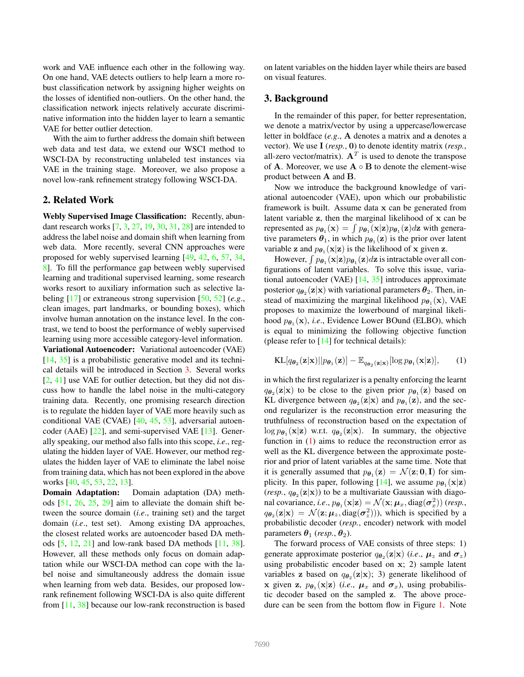<span id="page-1-2"></span>work and VAE influence each other in the following way. On one hand, VAE detects outliers to help learn a more robust classification network by assigning higher weights on the losses of identified non-outliers. On the other hand, the classification network injects relatively accurate discriminative information into the hidden layer to learn a semantic VAE for better outlier detection.

With the aim to further address the domain shift between web data and test data, we extend our WSCI method to WSCI-DA by reconstructing unlabeled test instances via VAE in the training stage. Moreover, we also propose a novel low-rank refinement strategy following WSCI-DA.

## 2. Related Work

Webly Supervised Image Classification: Recently, abundant research works [\[7,](#page-8-12) [3,](#page-8-1) [27,](#page-8-13) [19,](#page-8-14) [30,](#page-8-15) [31,](#page-8-16) [28\]](#page-8-17) are intended to address the label noise and domain shift when learning from web data. More recently, several CNN approaches were proposed for webly supervised learning [\[49,](#page-9-1) [42,](#page-9-0) [6,](#page-8-0) [57,](#page-9-2) [34,](#page-8-2) [8\]](#page-8-18). To fill the performance gap between webly supervised learning and traditional supervised learning, some research works resort to auxiliary information such as selective labeling [\[17\]](#page-8-3) or extraneous strong supervision [\[50,](#page-9-3) [52\]](#page-9-4) (*e.g*., clean images, part landmarks, or bounding boxes), which involve human annotation on the instance level. In the contrast, we tend to boost the performance of webly supervised learning using more accessible category-level information.

Variational Autoencoder: Variational autoencoder (VAE) [\[14,](#page-8-10) [35\]](#page-8-11) is a probabilistic generative model and its technical details will be introduced in Section [3.](#page-1-0) Several works [\[2,](#page-8-19) [41\]](#page-8-20) use VAE for outlier detection, but they did not discuss how to handle the label noise in the multi-category training data. Recently, one promising research direction is to regulate the hidden layer of VAE more heavily such as conditional VAE (CVAE) [\[40,](#page-8-21) [45,](#page-9-7) [53\]](#page-9-8), adversarial autoencoder (AAE) [\[22\]](#page-8-22), and semi-supervised VAE [\[13\]](#page-8-23). Generally speaking, our method also falls into this scope, *i.e*., regulating the hidden layer of VAE. However, our method regulates the hidden layer of VAE to eliminate the label noise from training data, which has not been explored in the above works [\[40,](#page-8-21) [45,](#page-9-7) [53,](#page-9-8) [22,](#page-8-22) [13\]](#page-8-23).

Domain Adaptation: Domain adaptation (DA) methods [\[51,](#page-9-9) [26,](#page-8-24) [25,](#page-8-25) [29\]](#page-8-26) aim to alleviate the domain shift between the source domain (*i.e*., training set) and the target domain (*i.e*., test set). Among existing DA approaches, the closest related works are autoencoder based DA methods [\[5,](#page-8-27) [12,](#page-8-28) [21\]](#page-8-29) and low-rank based DA methods [\[11,](#page-8-30) [38\]](#page-8-31). However, all these methods only focus on domain adaptation while our WSCI-DA method can cope with the label noise and simultaneously address the domain issue when learning from web data. Besides, our proposed lowrank refinement following WSCI-DA is also quite different from [\[11,](#page-8-30) [38\]](#page-8-31) because our low-rank reconstruction is based

on latent variables on the hidden layer while theirs are based on visual features.

### <span id="page-1-0"></span>3. Background

In the remainder of this paper, for better representation, we denote a matrix/vector by using a uppercase/lowercase letter in boldface (*e.g*., A denotes a matrix and a denotes a vector). We use I (*resp.*, 0) to denote identity matrix (*resp.*, all-zero vector/matrix).  $A<sup>T</sup>$  is used to denote the transpose of A. Moreover, we use  $A \circ B$  to denote the element-wise product between A and B.

Now we introduce the background knowledge of variational autoencoder (VAE), upon which our probabilistic framework is built. Assume data x can be generated from latent variable z, then the marginal likelihood of x can be represented as  $p_{\theta_1}(\mathbf{x}) = \int p_{\theta_1}(\mathbf{x}|\mathbf{z})p_{\theta_1}(\mathbf{z})d\mathbf{z}$  with generative parameters  $\theta_1$ , in which  $p_{\theta_1}(z)$  is the prior over latent variable **z** and  $p_{\theta_1}(\mathbf{x}|\mathbf{z})$  is the likelihood of **x** given **z**.

However,  $\int p_{\theta_1}(\mathbf{x}|\mathbf{z})p_{\theta_1}(\mathbf{z})d\mathbf{z}$  is intractable over all configurations of latent variables. To solve this issue, variational autoencoder (VAE) [\[14,](#page-8-10) [35\]](#page-8-11) introduces approximate posterior  $q_{\boldsymbol{\theta}_2}(\mathbf{z}|\mathbf{x})$  with variational parameters  $\boldsymbol{\theta}_2$ . Then, instead of maximizing the marginal likelihood  $p_{\theta_1}(\mathbf{x})$ , VAE proposes to maximize the lowerbound of marginal likelihood  $p_{\theta_1}(\mathbf{x})$ , *i.e.*, Evidence Lower BOund (ELBO), which is equal to minimizing the following objective function (please refer to [\[14\]](#page-8-10) for technical details):

<span id="page-1-1"></span>
$$
KL[q_{\boldsymbol{\theta}_2}(\mathbf{z}|\mathbf{x})||p_{\boldsymbol{\theta}_1}(\mathbf{z})] - \mathbb{E}_{q_{\boldsymbol{\theta}_2}(\mathbf{z}|\mathbf{x})}[\log p_{\boldsymbol{\theta}_1}(\mathbf{x}|\mathbf{z})],\qquad(1)
$$

in which the first regularizer is a penalty enforcing the learnt  $q_{\theta_2}(\mathbf{z}|\mathbf{x})$  to be close to the given prior  $p_{\theta_1}(\mathbf{z})$  based on KL divergence between  $q_{\theta_2}(\mathbf{z}|\mathbf{x})$  and  $p_{\theta_1}(\mathbf{z})$ , and the second regularizer is the reconstruction error measuring the truthfulness of reconstruction based on the expectation of  $\log p_{\theta_1}(\mathbf{x}|\mathbf{z})$  w.r.t.  $q_{\theta_2}(\mathbf{z}|\mathbf{x})$ . In summary, the objective function in  $(1)$  aims to reduce the reconstruction error as well as the KL divergence between the approximate posterior and prior of latent variables at the same time. Note that it is generally assumed that  $p_{\theta_1}(\mathbf{z}) = \mathcal{N}(\mathbf{z}; \mathbf{0}, \mathbf{I})$  for sim-plicity. In this paper, following [\[14\]](#page-8-10), we assume  $p_{\theta_1}(\mathbf{x}|\mathbf{z})$ (*resp.*,  $q_{\theta_2}(\mathbf{z}|\mathbf{x})$ ) to be a multivariate Gaussian with diagonal covariance, *i.e.*,  $p_{\theta_1}(\mathbf{x}|\mathbf{z}) = \mathcal{N}(\mathbf{x}; \boldsymbol{\mu}_x, \text{diag}(\boldsymbol{\sigma}_x^2))$  (*resp.*,  $q_{\theta_2}(\mathbf{z}|\mathbf{x}) = \mathcal{N}(\mathbf{z}; \boldsymbol{\mu}_z, \text{diag}(\boldsymbol{\sigma}_z^2))$ , which is specified by a probabilistic decoder (*resp.*, encoder) network with model parameters  $\theta_1$  (*resp.*,  $\theta_2$ ).

The forward process of VAE consists of three steps: 1) generate approximate posterior  $q_{\theta_2}(\mathbf{z}|\mathbf{x})$  (*i.e.*,  $\mu_z$  and  $\sigma_z$ ) using probabilistic encoder based on x; 2) sample latent variables z based on  $q_{\theta_2}(\mathbf{z}|\mathbf{x})$ ; 3) generate likelihood of x given z,  $p_{\theta_1}(\mathbf{x}|\mathbf{z})$  (*i.e.*,  $\mu_x$  and  $\sigma_x$ ), using probabilistic decoder based on the sampled z. The above procedure can be seen from the bottom flow in Figure [1.](#page-2-0) Note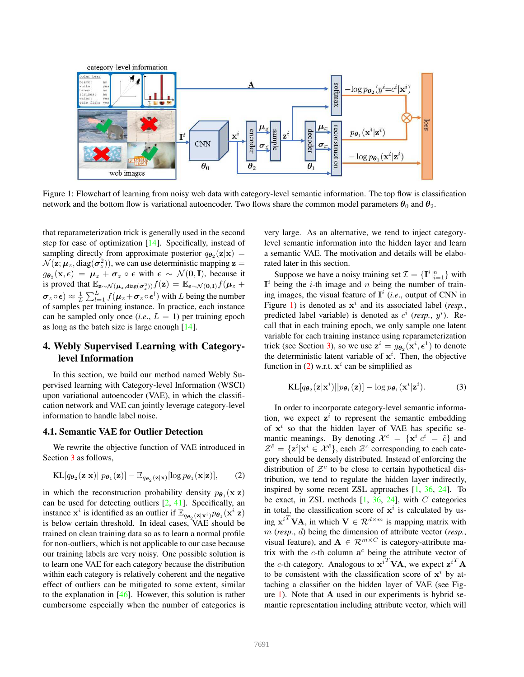<span id="page-2-5"></span><span id="page-2-0"></span>

Figure 1: Flowchart of learning from noisy web data with category-level semantic information. The top flow is classification network and the bottom flow is variational autoencoder. Two flows share the common model parameters  $\theta_0$  and  $\theta_2$ .

that reparameterization trick is generally used in the second step for ease of optimization [\[14\]](#page-8-10). Specifically, instead of sampling directly from approximate posterior  $q_{\theta_2}(\mathbf{z}|\mathbf{x}) =$  $\mathcal{N}(\mathbf{z}; \boldsymbol{\mu}_z, \text{diag}(\boldsymbol{\sigma}_z^2))$ , we can use deterministic mapping  $\mathbf{z} =$  $g_{\theta_2}(\mathbf{x}, \epsilon) = \mu_z + \sigma_z \circ \epsilon$  with  $\epsilon \sim \mathcal{N}(\mathbf{0}, \mathbf{I})$ , because it is proved that  $\mathbb{E}_{\mathbf{z} \sim \mathcal{N}(\boldsymbol{\mu}_z, \text{diag}(\boldsymbol{\sigma}_z^2))} f(\mathbf{z}) = \mathbb{E}_{\boldsymbol{\epsilon} \sim \mathcal{N}(\mathbf{0}, \mathbf{I})} f(\boldsymbol{\mu}_z +$  $\bm{\sigma}_z \circ \bm{\epsilon}) \approx \frac{1}{L} \sum_{l=1}^L f(\bm{\mu}_z + \bm{\sigma}_z \circ \bm{\epsilon}^l)$  with L being the number of samples per training instance. In practice, each instance can be sampled only once  $(i.e., L = 1)$  per training epoch as long as the batch size is large enough [\[14\]](#page-8-10).

# <span id="page-2-4"></span>4. Webly Supervised Learning with Categorylevel Information

In this section, we build our method named Webly Supervised learning with Category-level Information (WSCI) upon variational autoencoder (VAE), in which the classification network and VAE can jointly leverage category-level information to handle label noise.

# <span id="page-2-3"></span>4.1. Semantic VAE for Outlier Detection

We rewrite the objective function of VAE introduced in Section [3](#page-1-0) as follows,

<span id="page-2-1"></span>
$$
KL[q_{\boldsymbol{\theta}_2}(\mathbf{z}|\mathbf{x})||p_{\boldsymbol{\theta}_1}(\mathbf{z})] - \mathbb{E}_{q_{\boldsymbol{\theta}_2}(\mathbf{z}|\mathbf{x})}[\log p_{\boldsymbol{\theta}_1}(\mathbf{x}|\mathbf{z})],\qquad(2)
$$

in which the reconstruction probability density  $p_{\theta_1}(\mathbf{x}|\mathbf{z})$ can be used for detecting outliers [\[2,](#page-8-19) [41\]](#page-8-20). Specifically, an instance  $x^i$  is identified as an outlier if  $\mathbb{E}_{q_{\theta_2}(\mathbf{z}|\mathbf{x}^i)} p_{\theta_1}(\mathbf{x}^i|\mathbf{z})$ is below certain threshold. In ideal cases, VAE should be trained on clean training data so as to learn a normal profile for non-outliers, which is not applicable to our case because our training labels are very noisy. One possible solution is to learn one VAE for each category because the distribution within each category is relatively coherent and the negative effect of outliers can be mitigated to some extent, similar to the explanation in [\[46\]](#page-9-6). However, this solution is rather cumbersome especially when the number of categories is

very large. As an alternative, we tend to inject categorylevel semantic information into the hidden layer and learn a semantic VAE. The motivation and details will be elaborated later in this section.

Suppose we have a noisy training set  $\mathcal{I} = {\{\mathbf{I}^i|_{i=1}^n}\}\$  with  $I^i$  being the *i*-th image and *n* being the number of training images, the visual feature of  $I^i$  (*i.e.*, output of CNN in Figure [1\)](#page-2-0) is denoted as  $x^i$  and its associated label (*resp.*, predicted label variable) is denoted as  $c^i$  (*resp.*,  $y^i$ ). Recall that in each training epoch, we only sample one latent variable for each training instance using reparameterization trick (see Section [3\)](#page-1-0), so we use  $\mathbf{z}^i = g_{\theta_2}(\mathbf{x}^i, \boldsymbol{\epsilon}^1)$  to denote the deterministic latent variable of  $x^i$ . Then, the objective function in [\(2\)](#page-2-1) w.r.t.  $x^i$  can be simplified as

<span id="page-2-2"></span>
$$
KL[q_{\boldsymbol{\theta}_2}(\mathbf{z}|\mathbf{x}^i)||p_{\boldsymbol{\theta}_1}(\mathbf{z})] - \log p_{\boldsymbol{\theta}_1}(\mathbf{x}^i|\mathbf{z}^i).
$$
 (3)

In order to incorporate category-level semantic information, we expect  $\mathbf{z}^i$  to represent the semantic embedding of  $x^i$  so that the hidden layer of VAE has specific semantic meanings. By denoting  $\mathcal{X}^{\tilde{c}} = {\mathbf{x}^i} | c^i = \tilde{c} {\mathbf{x}}$  and  $\mathcal{Z}^{\tilde{c}} = {\mathbf{z}^i | \mathbf{x}^i \in \mathcal{X}^{\tilde{c}}},$  each  $\mathcal{Z}^c$  corresponding to each category should be densely distributed. Instead of enforcing the distribution of  $\mathcal{Z}^c$  to be close to certain hypothetical distribution, we tend to regulate the hidden layer indirectly, inspired by some recent ZSL approaches [\[1,](#page-8-6) [36,](#page-8-32) [24\]](#page-8-33). To be exact, in ZSL methods  $[1, 36, 24]$  $[1, 36, 24]$  $[1, 36, 24]$  $[1, 36, 24]$ , with C categories in total, the classification score of  $x^i$  is calculated by using  $\mathbf{x}^{i}$ <sup>T</sup>VA, in which  $\mathbf{V} \in \mathcal{R}^{d \times m}$  is mapping matrix with m (*resp.*, d) being the dimension of attribute vector (*resp.*, visual feature), and  $\mathbf{A} \in \mathcal{R}^{m \times C}$  is category-attribute matrix with the  $c$ -th column  $a^c$  being the attribute vector of the c-th category. Analogous to  $\mathbf{x}^{i}$ <sup>T</sup>VA, we expect  $\mathbf{z}^{i}$ <sup>T</sup>A to be consistent with the classification score of  $x^i$  by attaching a classifier on the hidden layer of VAE (see Fig-ure [1\)](#page-2-0). Note that  $A$  used in our experiments is hybrid semantic representation including attribute vector, which will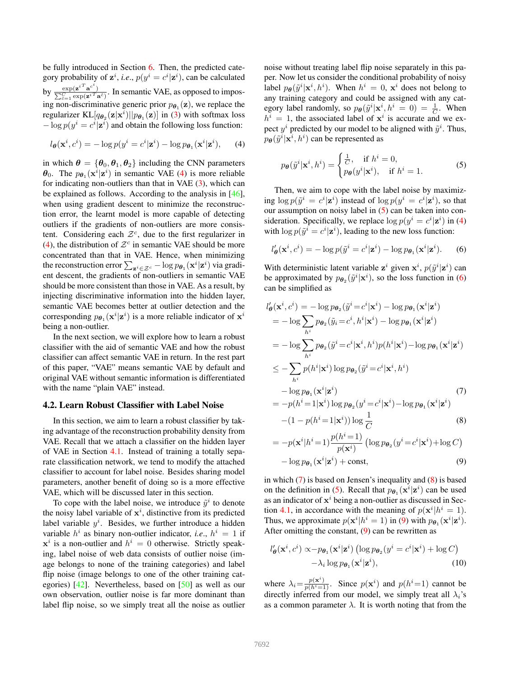<span id="page-3-5"></span>be fully introduced in Section [6.](#page-5-0) Then, the predicted category probability of  $\mathbf{z}^i$ , *i.e.*,  $p(y^i = c^i | \mathbf{z}^i)$ , can be calculated by  $\frac{\exp(\mathbf{z}^{i})^T \mathbf{a}^{c^i}}{\sum_{i}^C \exp(\mathbf{z}^{i})^T}$  $\Sigma$  $\frac{\exp(\mathbf{z}^i \cdot \mathbf{a}^c)}{c}$   $\exp(\mathbf{z}^i \cdot \mathbf{a}^c)$ . In semantic VAE, as opposed to imposing non-discriminative generic prior  $p_{\theta_1}(\mathbf{z})$ , we replace the regularizer  $KL[q_{\theta_2}(\mathbf{z}|\mathbf{x}^i)||p_{\theta_1}(\mathbf{z})]$  in [\(3\)](#page-2-2) with softmax loss  $-\log p(y^i = c^i | \mathbf{z}^i)$  and obtain the following loss function:

<span id="page-3-0"></span>
$$
l_{\theta}(\mathbf{x}^i, c^i) = -\log p(y^i = c^i|\mathbf{z}^i) - \log p_{\theta_1}(\mathbf{x}^i|\mathbf{z}^i), \qquad (4)
$$

in which  $\theta = {\theta_0, \theta_1, \theta_2}$  including the CNN parameters  $\theta_0$ . The  $p_{\theta_1}(\mathbf{x}^i|\mathbf{z}^i)$  in semantic VAE [\(4\)](#page-3-0) is more reliable for indicating non-outliers than that in VAE  $(3)$ , which can be explained as follows. According to the analysis in [\[46\]](#page-9-6), when using gradient descent to minimize the reconstruction error, the learnt model is more capable of detecting outliers if the gradients of non-outliers are more consistent. Considering each  $\mathcal{Z}^c$ , due to the first regularizer in [\(4\)](#page-3-0), the distribution of  $\mathcal{Z}^c$  in semantic VAE should be more concentrated than that in VAE. Hence, when minimizing the reconstruction error  $\sum_{\mathbf{z}^i \in \mathcal{Z}^c} - \log p_{\boldsymbol{\theta}_1}(\mathbf{x}^i | \mathbf{z}^i)$  via gradient descent, the gradients of non-outliers in semantic VAE should be more consistent than those in VAE. As a result, by injecting discriminative information into the hidden layer, semantic VAE becomes better at outlier detection and the corresponding  $p_{\theta_1}(\mathbf{x}^i|\mathbf{z}^i)$  is a more reliable indicator of  $\mathbf{x}^i$ being a non-outlier.

In the next section, we will explore how to learn a robust classifier with the aid of semantic VAE and how the robust classifier can affect semantic VAE in return. In the rest part of this paper, "VAE" means semantic VAE by default and original VAE without semantic information is differentiated with the name "plain VAE" instead.

#### 4.2. Learn Robust Classifier with Label Noise

In this section, we aim to learn a robust classifier by taking advantage of the reconstruction probability density from VAE. Recall that we attach a classifier on the hidden layer of VAE in Section [4.1.](#page-2-3) Instead of training a totally separate classification network, we tend to modify the attached classifier to account for label noise. Besides sharing model parameters, another benefit of doing so is a more effective VAE, which will be discussed later in this section.

To cope with the label noise, we introduce  $\tilde{y}^i$  to denote the noisy label variable of  $x^i$ , distinctive from its predicted label variable  $y^i$ . Besides, we further introduce a hidden variable  $h^i$  as binary non-outlier indicator, *i.e.*,  $h^i = 1$  if  $x^i$  is a non-outlier and  $h^i = 0$  otherwise. Strictly speaking, label noise of web data consists of outlier noise (image belongs to none of the training categories) and label flip noise (image belongs to one of the other training categories) [\[42\]](#page-9-0). Nevertheless, based on [\[50\]](#page-9-3) as well as our own observation, outlier noise is far more dominant than label flip noise, so we simply treat all the noise as outlier noise without treating label flip noise separately in this paper. Now let us consider the conditional probability of noisy label  $p_{\theta}(\tilde{y}^i | \mathbf{x}^i, h^i)$ . When  $h^i = 0$ ,  $\mathbf{x}^i$  does not belong to any training category and could be assigned with any category label randomly, so  $p_{\theta}(\tilde{y}^i | \mathbf{x}^i, h^i = 0) = \frac{1}{C}$ . When  $h^{i} = 1$ , the associated label of  $x^{i}$  is accurate and we expect  $y^i$  predicted by our model to be aligned with  $\tilde{y}^i$ . Thus,  $p_{\boldsymbol{\theta}}(\tilde{y}^i | \mathbf{x}^i, h^i)$  can be represented as

<span id="page-3-1"></span>
$$
p_{\theta}(\tilde{y}^i|\mathbf{x}^i, h^i) = \begin{cases} \frac{1}{C}, & \text{if } h^i = 0, \\ p_{\theta}(y^i|\mathbf{x}^i), & \text{if } h^i = 1. \end{cases}
$$
 (5)

Then, we aim to cope with the label noise by maximizing  $\log p(\tilde{y}^i = c^i | \mathbf{z}^i)$  instead of  $\log p(y^i = c^i | \mathbf{z}^i)$ , so that our assumption on noisy label in [\(5\)](#page-3-1) can be taken into consideration. Specifically, we replace  $\log p(y^i = c^i | \mathbf{z}^i)$  in [\(4\)](#page-3-0) with  $\log p(\tilde{y}^i = c^i | \mathbf{z}^i)$ , leading to the new loss function:

<span id="page-3-2"></span>
$$
l'_{\boldsymbol{\theta}}(\mathbf{x}^i, c^i) = -\log p(\tilde{y}^i = c^i | \mathbf{z}^i) - \log p_{\boldsymbol{\theta}_1}(\mathbf{x}^i | \mathbf{z}^i).
$$
 (6)

With deterministic latent variable  $\mathbf{z}^i$  given  $\mathbf{x}^i$ ,  $p(\tilde{y}^i|\mathbf{z}^i)$  can be approximated by  $p_{\theta_2}(\tilde{y}^i|\mathbf{x}^i)$ , so the loss function in [\(6\)](#page-3-2) can be simplified as

<span id="page-3-3"></span>
$$
l'_{\theta}(\mathbf{x}^{i}, c^{i}) = -\log p_{\theta_{2}}(\tilde{y}^{i} = c^{i}|\mathbf{x}^{i}) - \log p_{\theta_{1}}(\mathbf{x}^{i}|\mathbf{z}^{i})
$$
  
\n
$$
= -\log \sum_{h^{i}} p_{\theta_{2}}(\tilde{y}_{i} = c^{i}, h^{i}|\mathbf{x}^{i}) - \log p_{\theta_{1}}(\mathbf{x}^{i}|\mathbf{z}^{i})
$$
  
\n
$$
= -\log \sum_{h^{i}} p_{\theta_{2}}(\tilde{y}^{i} = c^{i}|\mathbf{x}^{i}, h^{i})p(h^{i}|\mathbf{x}^{i}) - \log p_{\theta_{1}}(\mathbf{x}^{i}|\mathbf{z}^{i})
$$
  
\n
$$
\leq -\sum_{h^{i}} p(h^{i}|\mathbf{x}^{i}) \log p_{\theta_{2}}(\tilde{y}^{i} = c^{i}|\mathbf{x}^{i}, h^{i})
$$
  
\n
$$
- \log p_{\theta_{1}}(\mathbf{x}^{i}|\mathbf{z}^{i})
$$
  
\n
$$
= -p(h^{i} = 1|\mathbf{x}^{i}) \log p_{\theta_{2}}(y^{i} = c^{i}|\mathbf{x}^{i}) - \log p_{\theta_{1}}(\mathbf{x}^{i}|\mathbf{z}^{i})
$$
  
\n(7)

$$
-(1 - p(h^i = 1|\mathbf{x}^i)) \log \frac{1}{C}
$$
 (8)

$$
= -p(\mathbf{x}^{i}|h^{i}=1)\frac{p(h^{i}=1)}{p(\mathbf{x}^{i})} (\log p_{\boldsymbol{\theta}_{2}}(y^{i}=c^{i}|\mathbf{x}^{i}) + \log C)
$$

$$
- \log p_{\boldsymbol{\theta}_{1}}(\mathbf{x}^{i}|\mathbf{z}^{i}) + \text{const}, \qquad (9)
$$

in which  $(7)$  is based on Jensen's inequality and  $(8)$  is based on the definition in [\(5\)](#page-3-1). Recall that  $p_{\theta_1}(\mathbf{x}^i|\mathbf{z}^i)$  can be used as an indicator of  $x^i$  being a non-outlier as discussed in Sec-tion [4.1,](#page-2-3) in accordance with the meaning of  $p(\mathbf{x}^i | h^i = 1)$ . Thus, we approximate  $p(\mathbf{x}^i | h^i = 1)$  in [\(9\)](#page-3-3) with  $p_{\theta_1}(\mathbf{x}^i | \mathbf{z}^i)$ . After omitting the constant,  $(9)$  can be rewritten as

<span id="page-3-4"></span>
$$
l'_{\theta}(\mathbf{x}^i, c^i) \propto -p_{\theta_1}(\mathbf{x}^i|\mathbf{z}^i) \left(\log p_{\theta_2}(y^i = c^i|\mathbf{x}^i) + \log C\right) - \lambda_i \log p_{\theta_1}(\mathbf{x}^i|\mathbf{z}^i),
$$
 (10)

where  $\lambda_i = \frac{p(\mathbf{x}^i)}{p(h^i=1)}$ . Since  $p(\mathbf{x}^i)$  and  $p(h^i=1)$  cannot be directly inferred from our model, we simply treat all  $\lambda_i$ 's as a common parameter  $\lambda$ . It is worth noting that from the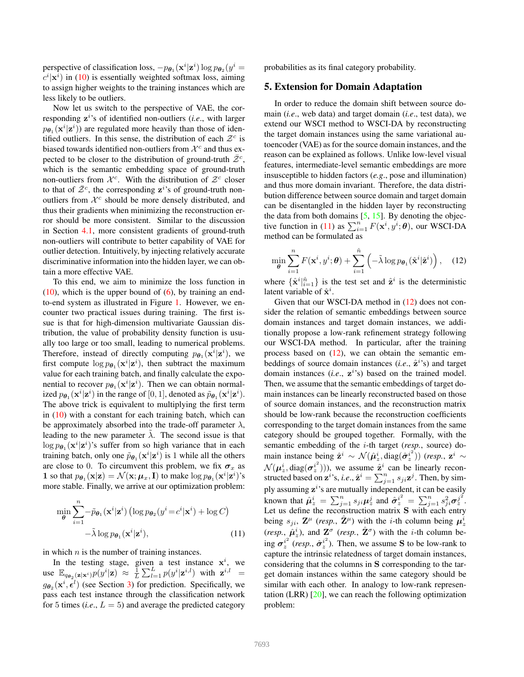<span id="page-4-2"></span>perspective of classification loss,  $-p_{\theta_1}(\mathbf{x}^i|\mathbf{z}^i) \log p_{\theta_2}(y^i)$  $\langle c^i | \mathbf{x}^i \rangle$  in [\(10\)](#page-3-4) is essentially weighted softmax loss, aiming to assign higher weights to the training instances which are less likely to be outliers.

Now let us switch to the perspective of VAE, the corresponding  $z^{i}$ 's of identified non-outliers (*i.e.*, with larger  $p_{\theta_1}(\mathbf{x}^i|\mathbf{z}^i)$  are regulated more heavily than those of identified outliers. In this sense, the distribution of each  $\mathcal{Z}^c$  is biased towards identified non-outliers from  $\mathcal{X}^c$  and thus expected to be closer to the distribution of ground-truth  $\bar{Z}^c$ , which is the semantic embedding space of ground-truth non-outliers from  $\mathcal{X}^c$ . With the distribution of  $\mathcal{Z}^c$  closer to that of  $\bar{Z}^c$ , the corresponding  $z^i$ 's of ground-truth nonoutliers from  $\mathcal{X}^c$  should be more densely distributed, and thus their gradients when minimizing the reconstruction error should be more consistent. Similar to the discussion in Section [4.1,](#page-2-3) more consistent gradients of ground-truth non-outliers will contribute to better capability of VAE for outlier detection. Intuitively, by injecting relatively accurate discriminative information into the hidden layer, we can obtain a more effective VAE.

To this end, we aim to minimize the loss function in  $(10)$ , which is the upper bound of  $(6)$ , by training an endto-end system as illustrated in Figure [1.](#page-2-0) However, we encounter two practical issues during training. The first issue is that for high-dimension multivariate Gaussian distribution, the value of probability density function is usually too large or too small, leading to numerical problems. Therefore, instead of directly computing  $p_{\theta_1}(\mathbf{x}^i|\mathbf{z}^i)$ , we first compute  $\log p_{\theta_1}(\mathbf{x}^i|\mathbf{z}^i)$ , then subtract the maximum value for each training batch, and finally calculate the exponential to recover  $p_{\theta_1}(\mathbf{x}^i|\mathbf{z}^i)$ . Then we can obtain normalized  $p_{\theta_1}(\mathbf{x}^i|\mathbf{z}^i)$  in the range of [0, 1], denoted as  $\tilde{p}_{\theta_1}(\mathbf{x}^i|\mathbf{z}^i)$ . The above trick is equivalent to multiplying the first term in [\(10\)](#page-3-4) with a constant for each training batch, which can be approximately absorbed into the trade-off parameter  $\lambda$ , leading to the new parameter  $\lambda$ . The second issue is that  $\log p_{\theta_1}(\mathbf{x}^i|\mathbf{z}^i)$ 's suffer from so high variance that in each training batch, only one  $\tilde{p}_{\theta_1}(\mathbf{x}^i|\mathbf{z}^i)$  is 1 while all the others are close to 0. To circumvent this problem, we fix  $\sigma_x$  as **1** so that  $p_{\theta_1}(\mathbf{x}|\mathbf{z}) = \mathcal{N}(\mathbf{x}; \boldsymbol{\mu}_x, \mathbf{I})$  to make  $\log p_{\theta_1}(\mathbf{x}^i|\mathbf{z}^i)$ 's more stable. Finally, we arrive at our optimization problem:

<span id="page-4-0"></span>
$$
\min_{\theta} \sum_{i=1}^{n} -\tilde{p}_{\theta_1}(\mathbf{x}^i|\mathbf{z}^i) \left( \log p_{\theta_2}(y^i = c^i|\mathbf{x}^i) + \log C \right)
$$

$$
-\tilde{\lambda} \log p_{\theta_1}(\mathbf{x}^i|\mathbf{z}^i), \tag{11}
$$

in which  $n$  is the number of training instances.

In the testing stage, given a test instance  $x^i$ , we use  $\mathbb{E}_{q_{\theta_2}(\mathbf{z}|\mathbf{x}^i)} p(y^i|\mathbf{z}) \approx \frac{1}{L} \sum_{l=1}^L p(y^i|\mathbf{z}^{i,l})$  with  $\mathbf{z}^{i,l} =$  $g_{\theta_2}(\mathbf{x}^i, \bar{\epsilon}^l)$  (see Section [3\)](#page-1-0) for prediction. Specifically, we pass each test instance through the classification network for 5 times  $(i.e., L = 5)$  and average the predicted category probabilities as its final category probability.

### 5. Extension for Domain Adaptation

In order to reduce the domain shift between source domain (*i.e*., web data) and target domain (*i.e*., test data), we extend our WSCI method to WSCI-DA by reconstructing the target domain instances using the same variational autoencoder (VAE) as for the source domain instances, and the reason can be explained as follows. Unlike low-level visual features, intermediate-level semantic embeddings are more insusceptible to hidden factors (*e.g*., pose and illumination) and thus more domain invariant. Therefore, the data distribution difference between source domain and target domain can be disentangled in the hidden layer by reconstructing the data from both domains  $[5, 15]$  $[5, 15]$  $[5, 15]$ . By denoting the objec-tive function in [\(11\)](#page-4-0) as  $\sum_{i=1}^{n} F(\mathbf{x}^i, y^i; \theta)$ , our WSCI-DA method can be formulated as

<span id="page-4-1"></span>
$$
\min_{\boldsymbol{\theta}} \sum_{i=1}^{n} F(\mathbf{x}^i, y^i; \boldsymbol{\theta}) + \sum_{i=1}^{\hat{n}} \left( -\tilde{\lambda} \log p_{\boldsymbol{\theta}_1}(\hat{\mathbf{x}}^i | \hat{\mathbf{z}}^i) \right), \quad (12)
$$

where  $\{\hat{\mathbf{x}}^i|_{i=1}^{\hat{n}}\}$  is the test set and  $\hat{\mathbf{z}}^i$  is the deterministic latent variable of  $\hat{\mathbf{x}}^i$ .

Given that our WSCI-DA method in [\(12\)](#page-4-1) does not consider the relation of semantic embeddings between source domain instances and target domain instances, we additionally propose a low-rank refinement strategy following our WSCI-DA method. In particular, after the training process based on  $(12)$ , we can obtain the semantic embeddings of source domain instances  $(i.e., \hat{z}^i)$  and target domain instances (*i.e.*,  $z^{i'}s$ ) based on the trained model. Then, we assume that the semantic embeddings of target domain instances can be linearly reconstructed based on those of source domain instances, and the reconstruction matrix should be low-rank because the reconstruction coefficients corresponding to the target domain instances from the same category should be grouped together. Formally, with the semantic embedding of the i-th target (*resp.*, source) domain instance being  $\hat{\mathbf{z}}^i \sim \mathcal{N}(\hat{\boldsymbol{\mu}}_z^i, \text{diag}(\hat{\boldsymbol{\sigma}}_z^{i^2}))$  $\binom{i^2}{z}$ )) (resp.,  $\mathbf{z}^i$   $\sim$  $\mathcal{N}(\bm{\mu}^i_z,\text{diag}(\bm{\sigma}^{i^2}_z$  $\left(\frac{i^2}{z}\right)$ )), we assume  $\hat{\mathbf{z}}^i$  can be linearly reconstructed based on  $\mathbf{z}^i$ 's, *i.e.*,  $\hat{\mathbf{z}}^i = \sum_{j=1}^n s_{ji} \mathbf{z}^j$ . Then, by simply assuming  $z^i$ 's are mutually independent, it can be easily known that  $\hat{\mu}_z^i = \sum_{j=1}^n s_{ji} \mu_z^j$  and  $\hat{\sigma}_z^{i^2} = \sum_{j=1}^n s_{ji}^2 \sigma_z^{j^2}$  $\frac{j^2}{z}$  . Let us define the reconstruction matrix  $S$  with each entry being  $s_{ji}$ ,  $\mathbf{Z}^{\mu}$  (*resp.*,  $\hat{\mathbf{Z}}^{\mu}$ ) with the *i*-th column being  $\mu_{z}^{i}$  $(resp., \hat{\mu}_z^i)$ , and  $\mathbf{Z}^{\sigma}$  (*resp.*,  $\hat{\mathbf{Z}}^{\sigma}$ ) with the *i*-th column be- $\cos \sigma_z^{i^2}$  $\int_z^{i^2}$  (resp.,  $\hat{\sigma}_z^{i^2}$  $i^{2}_{z}$ ). Then, we assume **S** to be low-rank to capture the intrinsic relatedness of target domain instances, considering that the columns in S corresponding to the target domain instances within the same category should be similar with each other. In analogy to low-rank representation (LRR)  $[20]$ , we can reach the following optimization problem: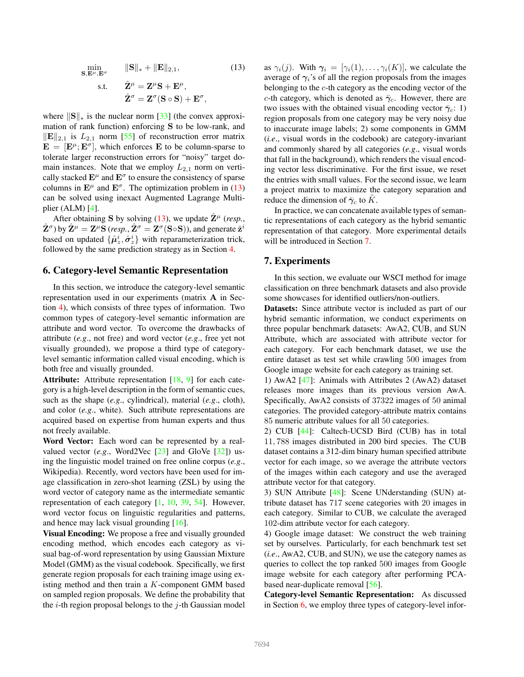<span id="page-5-3"></span><span id="page-5-1"></span>
$$
\min_{\mathbf{S}, \mathbf{E}^{\mu}, \mathbf{E}^{\sigma}} \quad \|\mathbf{S}\|_{*} + \|\mathbf{E}\|_{2,1},
$$
\n
$$
\text{s.t.} \quad \hat{\mathbf{Z}}^{\mu} = \mathbf{Z}^{\mu}\mathbf{S} + \mathbf{E}^{\mu},
$$
\n
$$
\hat{\mathbf{Z}}^{\sigma} = \mathbf{Z}^{\sigma}(\mathbf{S} \circ \mathbf{S}) + \mathbf{E}^{\sigma},
$$
\n
$$
(13)
$$

where  $\|\mathbf{S}\|_{*}$  is the nuclear norm [\[33\]](#page-8-36) (the convex approximation of rank function) enforcing S to be low-rank, and  $\|\mathbf{E}\|_{2,1}$  is  $L_{2,1}$  norm [\[55\]](#page-9-10) of reconstruction error matrix  $\mathbf{E} = [\mathbf{E}^{\mu}; \mathbf{E}^{\sigma}],$  which enforces **E** to be column-sparse to tolerate larger reconstruction errors for "noisy" target domain instances. Note that we employ  $L_{2,1}$  norm on vertically stacked  $\mathbf{E}^{\mu}$  and  $\mathbf{E}^{\sigma}$  to ensure the consistency of sparse columns in  $\mathbf{E}^{\mu}$  and  $\mathbf{E}^{\sigma}$ . The optimization problem in [\(13\)](#page-5-1) can be solved using inexact Augmented Lagrange Multiplier (ALM) [\[4\]](#page-8-37).

After obtaining S by solving [\(13\)](#page-5-1), we update  $\hat{\mathbf{Z}}^{\mu}$  (*resp.*,  $\hat{\mathbf{Z}}^{\sigma}$ ) by  $\hat{\mathbf{Z}}^{\mu} = \mathbf{Z}^{\mu} \mathbf{S}$  (*resp.*,  $\hat{\mathbf{Z}}^{\sigma} = \mathbf{Z}^{\sigma} (\mathbf{S} \circ \mathbf{S})$ ), and generate  $\hat{\mathbf{z}}^i$ based on updated  $\{\hat{\mu}_z^i, \hat{\sigma}_z^i\}$  with reparameterization trick, followed by the same prediction strategy as in Section [4.](#page-2-4)

#### <span id="page-5-0"></span>6. Category-level Semantic Representation

In this section, we introduce the category-level semantic representation used in our experiments (matrix A in Section [4\)](#page-2-4), which consists of three types of information. Two common types of category-level semantic information are attribute and word vector. To overcome the drawbacks of attribute (*e.g*., not free) and word vector (*e.g*., free yet not visually grounded), we propose a third type of categorylevel semantic information called visual encoding, which is both free and visually grounded.

Attribute: Attribute representation [\[18,](#page-8-5) [9\]](#page-8-4) for each category is a high-level description in the form of semantic cues, such as the shape (*e.g*., cylindrical), material (*e.g*., cloth), and color (*e.g*., white). Such attribute representations are acquired based on expertise from human experts and thus not freely available.

Word Vector: Each word can be represented by a realvalued vector (*e.g.*, Word2Vec [\[23\]](#page-8-38) and GloVe [\[32\]](#page-8-39)) using the linguistic model trained on free online corpus (*e.g*., Wikipedia). Recently, word vectors have been used for image classification in zero-shot learning (ZSL) by using the word vector of category name as the intermediate semantic representation of each category [\[1,](#page-8-6) [10,](#page-8-7) [39,](#page-8-8) [54\]](#page-9-5). However, word vector focus on linguistic regularities and patterns, and hence may lack visual grounding [\[16\]](#page-8-40).

Visual Encoding: We propose a free and visually grounded encoding method, which encodes each category as visual bag-of-word representation by using Gaussian Mixture Model (GMM) as the visual codebook. Specifically, we first generate region proposals for each training image using existing method and then train a K-component GMM based on sampled region proposals. We define the probability that the *i*-th region proposal belongs to the *j*-th Gaussian model as  $\gamma_i(j)$ . With  $\gamma_i = [\gamma_i(1), \ldots, \gamma_i(K)]$ , we calculate the average of  $\gamma_i$ 's of all the region proposals from the images belonging to the  $c$ -th category as the encoding vector of the c-th category, which is denoted as  $\bar{\gamma}_c$ . However, there are two issues with the obtained visual encoding vector  $\bar{\gamma}_c$ : 1) region proposals from one category may be very noisy due to inaccurate image labels; 2) some components in GMM (*i.e*., visual words in the codebook) are category-invariant and commonly shared by all categories (*e.g*., visual words that fall in the background), which renders the visual encoding vector less discriminative. For the first issue, we reset the entries with small values. For the second issue, we learn a project matrix to maximize the category separation and reduce the dimension of  $\bar{\gamma}_c$  to K.

In practice, we can concatenate available types of semantic representations of each category as the hybrid semantic representation of that category. More experimental details will be introduced in Section [7.](#page-5-2)

### <span id="page-5-2"></span>7. Experiments

In this section, we evaluate our WSCI method for image classification on three benchmark datasets and also provide some showcases for identified outliers/non-outliers.

Datasets: Since attribute vector is included as part of our hybrid semantic information, we conduct experiments on three popular benchmark datasets: AwA2, CUB, and SUN Attribute, which are associated with attribute vector for each category. For each benchmark dataset, we use the entire dataset as test set while crawling 500 images from Google image website for each category as training set.

1) AwA2 [\[47\]](#page-9-11): Animals with Attributes 2 (AwA2) dataset releases more images than its previous version AwA. Specifically, AwA2 consists of 37322 images of 50 animal categories. The provided category-attribute matrix contains 85 numeric attribute values for all 50 categories.

2) CUB [\[44\]](#page-9-12): Caltech-UCSD Bird (CUB) has in total 11, 788 images distributed in 200 bird species. The CUB dataset contains a 312-dim binary human specified attribute vector for each image, so we average the attribute vectors of the images within each category and use the averaged attribute vector for that category.

3) SUN Attribute [\[48\]](#page-9-13): Scene UNderstanding (SUN) attribute dataset has 717 scene categories with 20 images in each category. Similar to CUB, we calculate the averaged 102-dim attribute vector for each category.

4) Google image dataset: We construct the web training set by ourselves. Particularly, for each benchmark test set (*i.e*., AwA2, CUB, and SUN), we use the category names as queries to collect the top ranked 500 images from Google image website for each category after performing PCAbased near-duplicate removal [\[56\]](#page-9-14).

Category-level Semantic Representation: As discussed in Section [6,](#page-5-0) we employ three types of category-level infor-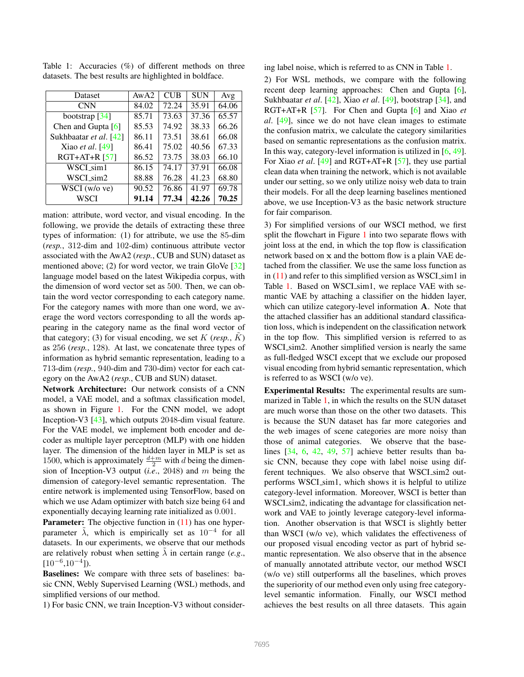| Dataset                | AwA2  | <b>CUB</b> | <b>SUN</b> | Avg   |
|------------------------|-------|------------|------------|-------|
| <b>CNN</b>             | 84.02 | 72.24      | 35.91      | 64.06 |
| bootstrap $[34]$       | 85.71 | 73.63      | 37.36      | 65.57 |
| Chen and Gupta $[6]$   | 85.53 | 74.92      | 38.33      | 66.26 |
| Sukhbaatar et al. [42] | 86.11 | 73.51      | 38.61      | 66.08 |
| Xiao et al. [49]       | 86.41 | 75.02      | 40.56      | 67.33 |
| $RGT+AT+R [57]$        | 86.52 | 73.75      | 38.03      | 66.10 |
| WSCI sim1              | 86.15 | 74.17      | 37.91      | 66.08 |
| WSCL <sub>sim2</sub>   | 88.88 | 76.28      | 41.23      | 68.80 |
| WSCI (w/o ve)          | 90.52 | 76.86      | 41.97      | 69.78 |
| WSCI                   | 91.14 | 77.34      | 42.26      | 70.25 |

<span id="page-6-1"></span><span id="page-6-0"></span>Table 1: Accuracies (%) of different methods on three datasets. The best results are highlighted in boldface.

mation: attribute, word vector, and visual encoding. In the following, we provide the details of extracting these three types of information: (1) for attribute, we use the 85-dim (*resp.*, 312-dim and 102-dim) continuous attribute vector associated with the AwA2 (*resp.*, CUB and SUN) dataset as mentioned above; (2) for word vector, we train GloVe [\[32\]](#page-8-39) language model based on the latest Wikipedia corpus, with the dimension of word vector set as 500. Then, we can obtain the word vector corresponding to each category name. For the category names with more than one word, we average the word vectors corresponding to all the words appearing in the category name as the final word vector of that category; (3) for visual encoding, we set  $K$  (*resp.*,  $K$ ) as 256 (*resp.*, 128). At last, we concatenate three types of information as hybrid semantic representation, leading to a 713-dim (*resp.*, 940-dim and 730-dim) vector for each category on the AwA2 (*resp.*, CUB and SUN) dataset.

Network Architecture: Our network consists of a CNN model, a VAE model, and a softmax classification model, as shown in Figure [1.](#page-2-0) For the CNN model, we adopt Inception-V3 [\[43\]](#page-9-15), which outputs 2048-dim visual feature. For the VAE model, we implement both encoder and decoder as multiple layer perceptron (MLP) with one hidden layer. The dimension of the hidden layer in MLP is set as 1500, which is approximately  $\frac{d+m}{2}$  with d being the dimension of Inception-V3 output (*i.e*., 2048) and m being the dimension of category-level semantic representation. The entire network is implemented using TensorFlow, based on which we use Adam optimizer with batch size being 64 and exponentially decaying learning rate initialized as 0.001.

Parameter: The objective function in  $(11)$  has one hyperparameter  $\tilde{\lambda}$ , which is empirically set as 10<sup>-4</sup> for all datasets. In our experiments, we observe that our methods are relatively robust when setting  $\lambda$  in certain range (*e.g.*,  $[10^{-6}, 10^{-4}]$ ).

Baselines: We compare with three sets of baselines: basic CNN, Webly Supervised Learning (WSL) methods, and simplified versions of our method.

1) For basic CNN, we train Inception-V3 without consider-

ing label noise, which is referred to as CNN in Table [1.](#page-6-0)

2) For WSL methods, we compare with the following recent deep learning approaches: Chen and Gupta [\[6\]](#page-8-0), Sukhbaatar *et al*. [\[42\]](#page-9-0), Xiao *et al*. [\[49\]](#page-9-1), bootstrap [\[34\]](#page-8-2), and RGT+AT+R [\[57\]](#page-9-2). For Chen and Gupta [\[6\]](#page-8-0) and Xiao *et al*. [\[49\]](#page-9-1), since we do not have clean images to estimate the confusion matrix, we calculate the category similarities based on semantic representations as the confusion matrix. In this way, category-level information is utilized in [\[6,](#page-8-0) [49\]](#page-9-1). For Xiao *et al*. [\[49\]](#page-9-1) and RGT+AT+R [\[57\]](#page-9-2), they use partial clean data when training the network, which is not available under our setting, so we only utilize noisy web data to train their models. For all the deep learning baselines mentioned above, we use Inception-V3 as the basic network structure for fair comparison.

3) For simplified versions of our WSCI method, we first split the flowchart in Figure [1](#page-2-0) into two separate flows with joint loss at the end, in which the top flow is classification network based on x and the bottom flow is a plain VAE detached from the classifier. We use the same loss function as in  $(11)$  and refer to this simplified version as WSCI sim1 in Table [1.](#page-6-0) Based on WSCL sim1, we replace VAE with semantic VAE by attaching a classifier on the hidden layer, which can utilize category-level information **A**. Note that the attached classifier has an additional standard classification loss, which is independent on the classification network in the top flow. This simplified version is referred to as WSCI\_sim2. Another simplified version is nearly the same as full-fledged WSCI except that we exclude our proposed visual encoding from hybrid semantic representation, which is referred to as WSCI (w/o ve).

Experimental Results: The experimental results are summarized in Table [1,](#page-6-0) in which the results on the SUN dataset are much worse than those on the other two datasets. This is because the SUN dataset has far more categories and the web images of scene categories are more noisy than those of animal categories. We observe that the baselines [\[34,](#page-8-2) [6,](#page-8-0) [42,](#page-9-0) [49,](#page-9-1) [57\]](#page-9-2) achieve better results than basic CNN, because they cope with label noise using different techniques. We also observe that WSCI\_sim2 outperforms WSCI sim1, which shows it is helpful to utilize category-level information. Moreover, WSCI is better than WSCI\_sim2, indicating the advantage for classification network and VAE to jointly leverage category-level information. Another observation is that WSCI is slightly better than WSCI (w/o ve), which validates the effectiveness of our proposed visual encoding vector as part of hybrid semantic representation. We also observe that in the absence of manually annotated attribute vector, our method WSCI (w/o ve) still outperforms all the baselines, which proves the superiority of our method even only using free categorylevel semantic information. Finally, our WSCI method achieves the best results on all three datasets. This again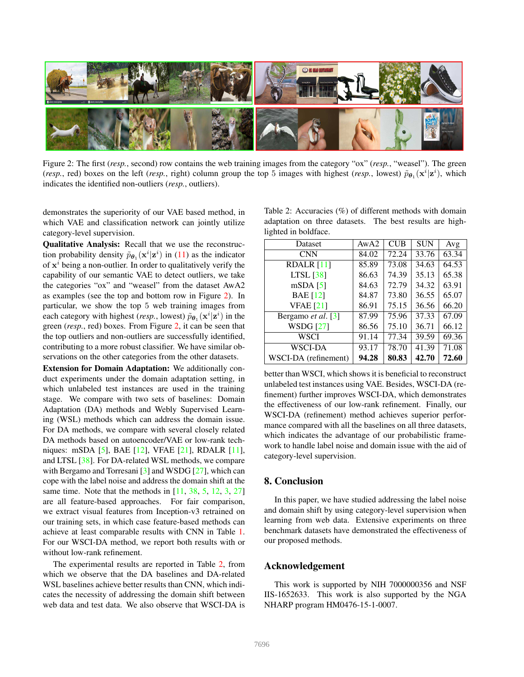<span id="page-7-2"></span><span id="page-7-0"></span>

Figure 2: The first (*resp.*, second) row contains the web training images from the category "ox" (*resp.*, "weasel"). The green (*resp.*, red) boxes on the left (*resp.*, right) column group the top 5 images with highest (*resp.*, lowest)  $\tilde{p}_{\theta_1}(\mathbf{x}^i|\mathbf{z}^i)$ , which indicates the identified non-outliers (*resp.*, outliers).

demonstrates the superiority of our VAE based method, in which VAE and classification network can jointly utilize category-level supervision.

Qualitative Analysis: Recall that we use the reconstruction probability density  $\tilde{p}_{\theta_1}(\mathbf{x}^i|\mathbf{z}^i)$  in [\(11\)](#page-4-0) as the indicator of  $x^i$  being a non-outlier. In order to qualitatively verify the capability of our semantic VAE to detect outliers, we take the categories "ox" and "weasel" from the dataset AwA2 as examples (see the top and bottom row in Figure [2\)](#page-7-0). In particular, we show the top 5 web training images from each category with highest (*resp.*, lowest)  $\tilde{p}_{\theta_1}(\mathbf{x}^i|\mathbf{z}^i)$  in the green (*resp.*, red) boxes. From Figure [2,](#page-7-0) it can be seen that the top outliers and non-outliers are successfully identified, contributing to a more robust classifier. We have similar observations on the other categories from the other datasets.

Extension for Domain Adaptation: We additionally conduct experiments under the domain adaptation setting, in which unlabeled test instances are used in the training stage. We compare with two sets of baselines: Domain Adaptation (DA) methods and Webly Supervised Learning (WSL) methods which can address the domain issue. For DA methods, we compare with several closely related DA methods based on autoencoder/VAE or low-rank techniques: mSDA [\[5\]](#page-8-27), BAE [\[12\]](#page-8-28), VFAE [\[21\]](#page-8-29), RDALR [\[11\]](#page-8-30), and LTSL [\[38\]](#page-8-31). For DA-related WSL methods, we compare with Bergamo and Torresani [\[3\]](#page-8-1) and WSDG [\[27\]](#page-8-13), which can cope with the label noise and address the domain shift at the same time. Note that the methods in  $[11, 38, 5, 12, 3, 27]$  $[11, 38, 5, 12, 3, 27]$  $[11, 38, 5, 12, 3, 27]$  $[11, 38, 5, 12, 3, 27]$  $[11, 38, 5, 12, 3, 27]$  $[11, 38, 5, 12, 3, 27]$  $[11, 38, 5, 12, 3, 27]$  $[11, 38, 5, 12, 3, 27]$  $[11, 38, 5, 12, 3, 27]$  $[11, 38, 5, 12, 3, 27]$ are all feature-based approaches. For fair comparison, we extract visual features from Inception-v3 retrained on our training sets, in which case feature-based methods can achieve at least comparable results with CNN in Table [1.](#page-6-0) For our WSCI-DA method, we report both results with or without low-rank refinement.

The experimental results are reported in Table [2,](#page-7-1) from which we observe that the DA baselines and DA-related WSL baselines achieve better results than CNN, which indicates the necessity of addressing the domain shift between web data and test data. We also observe that WSCI-DA is

<span id="page-7-1"></span>Table 2: Accuracies (%) of different methods with domain adaptation on three datasets. The best results are highlighted in boldface.

| Dataset              | AWA2  | <b>CUB</b> | <b>SUN</b> | Avg   |
|----------------------|-------|------------|------------|-------|
| <b>CNN</b>           | 84.02 | 72.24      | 33.76      | 63.34 |
| <b>RDALR</b> [11]    | 85.89 | 73.08      | 34.63      | 64.53 |
| $LTSL$ [38]          | 86.63 | 74.39      | 35.13      | 65.38 |
| $mSDA$ [5]           | 84.63 | 72.79      | 34.32      | 63.91 |
| <b>BAE</b> [12]      | 84.87 | 73.80      | 36.55      | 65.07 |
| <b>VFAE</b> [21]     | 86.91 | 75.15      | 36.56      | 66.20 |
| Bergamo et al. [3]   | 87.99 | 75.96      | 37.33      | 67.09 |
| <b>WSDG</b> [27]     | 86.56 | 75.10      | 36.71      | 66.12 |
| WSCI                 | 91.14 | 77.34      | 39.59      | 69.36 |
| <b>WSCI-DA</b>       | 93.17 | 78.70      | 41.39      | 71.08 |
| WSCI-DA (refinement) | 94.28 | 80.83      | 42.70      | 72.60 |

better than WSCI, which shows it is beneficial to reconstruct unlabeled test instances using VAE. Besides, WSCI-DA (refinement) further improves WSCI-DA, which demonstrates the effectiveness of our low-rank refinement. Finally, our WSCI-DA (refinement) method achieves superior performance compared with all the baselines on all three datasets, which indicates the advantage of our probabilistic framework to handle label noise and domain issue with the aid of category-level supervision.

## 8. Conclusion

In this paper, we have studied addressing the label noise and domain shift by using category-level supervision when learning from web data. Extensive experiments on three benchmark datasets have demonstrated the effectiveness of our proposed methods.

## Acknowledgement

This work is supported by NIH 7000000356 and NSF IIS-1652633. This work is also supported by the NGA NHARP program HM0476-15-1-0007.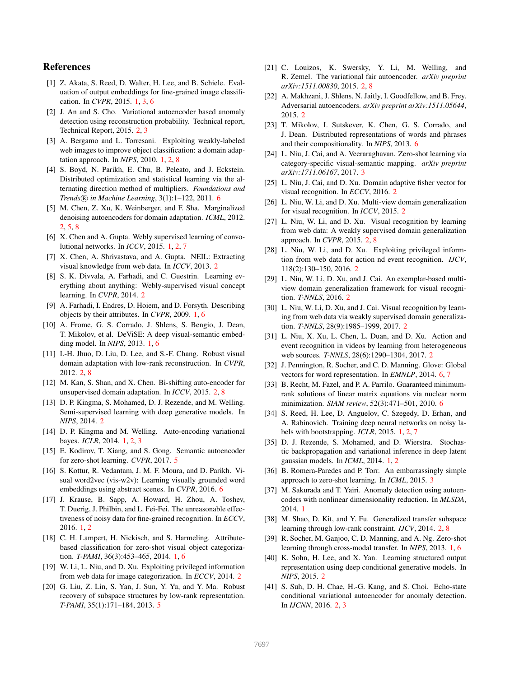# References

- <span id="page-8-6"></span>[1] Z. Akata, S. Reed, D. Walter, H. Lee, and B. Schiele. Evaluation of output embeddings for fine-grained image classification. In *CVPR*, 2015. [1,](#page-0-0) [3,](#page-2-5) [6](#page-5-3)
- <span id="page-8-19"></span>[2] J. An and S. Cho. Variational autoencoder based anomaly detection using reconstruction probability. Technical report, Technical Report, 2015. [2,](#page-1-2) [3](#page-2-5)
- <span id="page-8-1"></span>[3] A. Bergamo and L. Torresani. Exploiting weakly-labeled web images to improve object classification: a domain adaptation approach. In *NIPS*, 2010. [1,](#page-0-0) [2,](#page-1-2) [8](#page-7-2)
- <span id="page-8-37"></span>[4] S. Boyd, N. Parikh, E. Chu, B. Peleato, and J. Eckstein. Distributed optimization and statistical learning via the alternating direction method of multipliers. *Foundations and Trends* <sup>R</sup> *in Machine Learning*, 3(1):1–122, 2011. [6](#page-5-3)
- <span id="page-8-27"></span>[5] M. Chen, Z. Xu, K. Weinberger, and F. Sha. Marginalized denoising autoencoders for domain adaptation. *ICML*, 2012. [2,](#page-1-2) [5,](#page-4-2) [8](#page-7-2)
- <span id="page-8-0"></span>[6] X. Chen and A. Gupta. Webly supervised learning of convolutional networks. In *ICCV*, 2015. [1,](#page-0-0) [2,](#page-1-2) [7](#page-6-1)
- <span id="page-8-12"></span>[7] X. Chen, A. Shrivastava, and A. Gupta. NEIL: Extracting visual knowledge from web data. In *ICCV*, 2013. [2](#page-1-2)
- <span id="page-8-18"></span>[8] S. K. Divvala, A. Farhadi, and C. Guestrin. Learning everything about anything: Webly-supervised visual concept learning. In *CVPR*, 2014. [2](#page-1-2)
- <span id="page-8-4"></span>[9] A. Farhadi, I. Endres, D. Hoiem, and D. Forsyth. Describing objects by their attributes. In *CVPR*, 2009. [1,](#page-0-0) [6](#page-5-3)
- <span id="page-8-7"></span>[10] A. Frome, G. S. Corrado, J. Shlens, S. Bengio, J. Dean, T. Mikolov, et al. DeViSE: A deep visual-semantic embedding model. In *NIPS*, 2013. [1,](#page-0-0) [6](#page-5-3)
- <span id="page-8-30"></span>[11] I.-H. Jhuo, D. Liu, D. Lee, and S.-F. Chang. Robust visual domain adaptation with low-rank reconstruction. In *CVPR*, 2012. [2,](#page-1-2) [8](#page-7-2)
- <span id="page-8-28"></span>[12] M. Kan, S. Shan, and X. Chen. Bi-shifting auto-encoder for unsupervised domain adaptation. In *ICCV*, 2015. [2,](#page-1-2) [8](#page-7-2)
- <span id="page-8-23"></span>[13] D. P. Kingma, S. Mohamed, D. J. Rezende, and M. Welling. Semi-supervised learning with deep generative models. In *NIPS*, 2014. [2](#page-1-2)
- <span id="page-8-10"></span>[14] D. P. Kingma and M. Welling. Auto-encoding variational bayes. *ICLR*, 2014. [1,](#page-0-0) [2,](#page-1-2) [3](#page-2-5)
- <span id="page-8-34"></span>[15] E. Kodirov, T. Xiang, and S. Gong. Semantic autoencoder for zero-shot learning. *CVPR*, 2017. [5](#page-4-2)
- <span id="page-8-40"></span>[16] S. Kottur, R. Vedantam, J. M. F. Moura, and D. Parikh. Visual word2vec (vis-w2v): Learning visually grounded word embeddings using abstract scenes. In *CVPR*, 2016. [6](#page-5-3)
- <span id="page-8-3"></span>[17] J. Krause, B. Sapp, A. Howard, H. Zhou, A. Toshev, T. Duerig, J. Philbin, and L. Fei-Fei. The unreasonable effectiveness of noisy data for fine-grained recognition. In *ECCV*, 2016. [1,](#page-0-0) [2](#page-1-2)
- <span id="page-8-5"></span>[18] C. H. Lampert, H. Nickisch, and S. Harmeling. Attributebased classification for zero-shot visual object categorization. *T-PAMI*, 36(3):453–465, 2014. [1,](#page-0-0) [6](#page-5-3)
- <span id="page-8-14"></span>[19] W. Li, L. Niu, and D. Xu. Exploiting privileged information from web data for image categorization. In *ECCV*, 2014. [2](#page-1-2)
- <span id="page-8-35"></span>[20] G. Liu, Z. Lin, S. Yan, J. Sun, Y. Yu, and Y. Ma. Robust recovery of subspace structures by low-rank representation. *T-PAMI*, 35(1):171–184, 2013. [5](#page-4-2)
- <span id="page-8-29"></span>[21] C. Louizos, K. Swersky, Y. Li, M. Welling, and R. Zemel. The variational fair autoencoder. *arXiv preprint arXiv:1511.00830*, 2015. [2,](#page-1-2) [8](#page-7-2)
- <span id="page-8-22"></span>[22] A. Makhzani, J. Shlens, N. Jaitly, I. Goodfellow, and B. Frey. Adversarial autoencoders. *arXiv preprint arXiv:1511.05644*, 2015. [2](#page-1-2)
- <span id="page-8-38"></span>[23] T. Mikolov, I. Sutskever, K. Chen, G. S. Corrado, and J. Dean. Distributed representations of words and phrases and their compositionality. In *NIPS*, 2013. [6](#page-5-3)
- <span id="page-8-33"></span>[24] L. Niu, J. Cai, and A. Veeraraghavan. Zero-shot learning via category-specific visual-semantic mapping. *arXiv preprint arXiv:1711.06167*, 2017. [3](#page-2-5)
- <span id="page-8-25"></span>[25] L. Niu, J. Cai, and D. Xu. Domain adaptive fisher vector for visual recognition. In *ECCV*, 2016. [2](#page-1-2)
- <span id="page-8-24"></span>[26] L. Niu, W. Li, and D. Xu. Multi-view domain generalization for visual recognition. In *ICCV*, 2015. [2](#page-1-2)
- <span id="page-8-13"></span>[27] L. Niu, W. Li, and D. Xu. Visual recognition by learning from web data: A weakly supervised domain generalization approach. In *CVPR*, 2015. [2,](#page-1-2) [8](#page-7-2)
- <span id="page-8-17"></span>[28] L. Niu, W. Li, and D. Xu. Exploiting privileged informtion from web data for action nd event recognition. *IJCV*, 118(2):130–150, 2016. [2](#page-1-2)
- <span id="page-8-26"></span>[29] L. Niu, W. Li, D. Xu, and J. Cai. An exemplar-based multiview domain generalization framework for visual recognition. *T-NNLS*, 2016. [2](#page-1-2)
- <span id="page-8-15"></span>[30] L. Niu, W. Li, D. Xu, and J. Cai. Visual recognition by learning from web data via weakly supervised domain generalization. *T-NNLS*, 28(9):1985–1999, 2017. [2](#page-1-2)
- <span id="page-8-16"></span>[31] L. Niu, X. Xu, L. Chen, L. Duan, and D. Xu. Action and event recognition in videos by learning from heterogeneous web sources. *T-NNLS*, 28(6):1290–1304, 2017. [2](#page-1-2)
- <span id="page-8-39"></span>[32] J. Pennington, R. Socher, and C. D. Manning. Glove: Global vectors for word representation. In *EMNLP*, 2014. [6,](#page-5-3) [7](#page-6-1)
- <span id="page-8-36"></span>[33] B. Recht, M. Fazel, and P. A. Parrilo. Guaranteed minimumrank solutions of linear matrix equations via nuclear norm minimization. *SIAM review*, 52(3):471–501, 2010. [6](#page-5-3)
- <span id="page-8-2"></span>[34] S. Reed, H. Lee, D. Anguelov, C. Szegedy, D. Erhan, and A. Rabinovich. Training deep neural networks on noisy labels with bootstrapping. *ICLR*, 2015. [1,](#page-0-0) [2,](#page-1-2) [7](#page-6-1)
- <span id="page-8-11"></span>[35] D. J. Rezende, S. Mohamed, and D. Wierstra. Stochastic backpropagation and variational inference in deep latent gaussian models. In *ICML*, 2014. [1,](#page-0-0) [2](#page-1-2)
- <span id="page-8-32"></span>[36] B. Romera-Paredes and P. Torr. An embarrassingly simple approach to zero-shot learning. In *ICML*, 2015. [3](#page-2-5)
- <span id="page-8-9"></span>[37] M. Sakurada and T. Yairi. Anomaly detection using autoencoders with nonlinear dimensionality reduction. In *MLSDA*, 2014. [1](#page-0-0)
- <span id="page-8-31"></span>[38] M. Shao, D. Kit, and Y. Fu. Generalized transfer subspace learning through low-rank constraint. *IJCV*, 2014. [2,](#page-1-2) [8](#page-7-2)
- <span id="page-8-8"></span>[39] R. Socher, M. Ganjoo, C. D. Manning, and A. Ng. Zero-shot learning through cross-modal transfer. In *NIPS*, 2013. [1,](#page-0-0) [6](#page-5-3)
- <span id="page-8-21"></span>[40] K. Sohn, H. Lee, and X. Yan. Learning structured output representation using deep conditional generative models. In *NIPS*, 2015. [2](#page-1-2)
- <span id="page-8-20"></span>[41] S. Suh, D. H. Chae, H.-G. Kang, and S. Choi. Echo-state conditional variational autoencoder for anomaly detection. In *IJCNN*, 2016. [2,](#page-1-2) [3](#page-2-5)